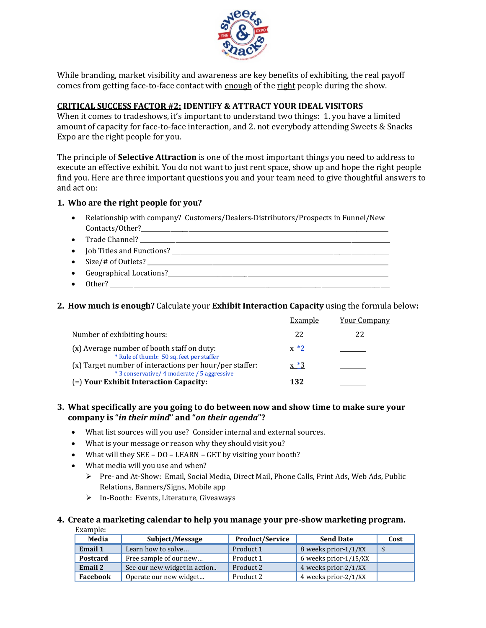

While branding, market visibility and awareness are key benefits of exhibiting, the real payoff comes from getting face-to-face contact with enough of the right people during the show.

# **CRITICAL SUCCESS FACTOR #2: IDENTIFY & ATTRACT YOUR IDEAL VISITORS**

When it comes to tradeshows, it's important to understand two things: 1. you have a limited amount of capacity for face-to-face interaction, and 2. not everybody attending Sweets & Snacks Expo are the right people for you.

The principle of **Selective Attraction** is one of the most important things you need to address to execute an effective exhibit. You do not want to just rent space, show up and hope the right people find you. Here are three important questions you and your team need to give thoughtful answers to and act on:

## **1. Who are the right people for you?**

- Relationship with company? Customers/Dealers-Distributors/Prospects in Funnel/New Contacts/Other?\_\_\_\_\_\_\_\_\_\_\_\_\_\_\_\_\_\_\_\_\_\_\_\_\_\_\_\_\_\_\_\_\_\_\_\_\_\_\_\_\_\_\_\_\_\_\_\_\_\_\_\_\_\_\_\_\_\_\_\_\_\_\_\_\_\_\_\_\_\_\_\_\_\_\_\_\_\_\_\_\_\_\_\_
- Trade Channel? \_\_\_\_\_\_\_\_\_\_\_\_\_\_\_\_\_\_\_\_\_\_\_\_\_\_\_\_\_\_\_\_\_\_\_\_\_\_\_\_\_\_\_\_\_\_\_\_\_\_\_\_\_\_\_\_\_\_\_\_\_\_\_\_\_\_\_\_\_\_\_\_\_\_\_\_\_\_\_\_\_\_\_\_\_
- $\bullet$  Job Titles and Functions?
- Size/# of Outlets? \_\_\_\_\_\_\_\_\_\_\_\_\_\_\_\_\_\_\_\_\_\_\_\_\_\_\_\_\_\_\_\_\_\_\_\_\_\_\_\_\_\_\_\_\_\_\_\_\_\_\_\_\_\_\_\_\_\_\_\_\_\_\_\_\_\_\_\_\_\_\_\_\_\_\_\_\_\_\_\_\_\_
- $\bullet$  Geographical Locations?<br> $\qquad \bullet$
- $\bullet$  Other?

## **2. How much is enough?** Calculate your **Exhibit Interaction Capacity** using the formula below**:**

|                                                                                                        | Example | <b>Your Company</b> |
|--------------------------------------------------------------------------------------------------------|---------|---------------------|
| Number of exhibiting hours:                                                                            | 22      | 22                  |
| (x) Average number of booth staff on duty:<br>* Rule of thumb: 50 sq. feet per staffer                 | $x * 2$ |                     |
| (x) Target number of interactions per hour/per staffer:<br>* 3 conservative/ 4 moderate / 5 aggressive | $x *3$  |                     |
| (=) Your Exhibit Interaction Capacity:                                                                 | 132     |                     |

#### **3. What specifically are you going to do between now and show time to make sure your company is "***in their mind***" and "***on their agenda***"?**

- What list sources will you use? Consider internal and external sources.
- What is your message or reason why they should visit you?
- What will they SEE DO LEARN GET by visiting your booth?
- What media will you use and when?
	- ▶ Pre- and At-Show: Email, Social Media, Direct Mail, Phone Calls, Print Ads, Web Ads, Public Relations, Banners/Signs, Mobile app
	- In-Booth: Events, Literature, Giveaways

#### **4. Create a marketing calendar to help you manage your pre-show marketing program.** Example:

| Media    | Subject/Message              | <b>Product/Service</b> | <b>Send Date</b>      | Cost |
|----------|------------------------------|------------------------|-----------------------|------|
| Email 1  | Learn how to solve           | Product 1              | 8 weeks prior-1/1/XX  | -\$  |
| Postcard | Free sample of our new       | Product 1              | 6 weeks prior-1/15/XX |      |
| Email 2  | See our new widget in action | Product 2              | 4 weeks prior-2/1/XX  |      |
| Facebook | Operate our new widget       | Product 2              | 4 weeks prior-2/1/XX  |      |